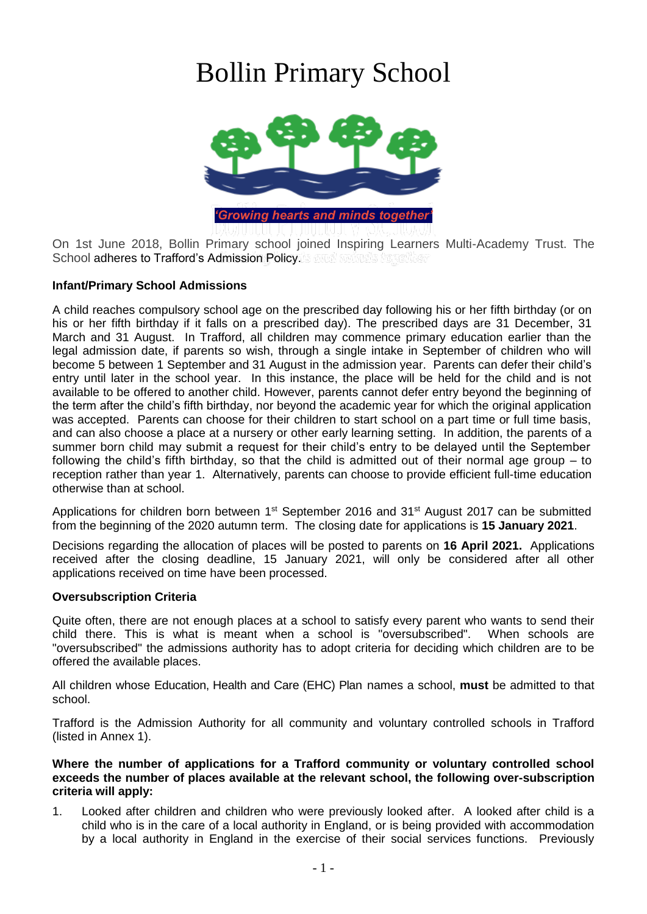# Bollin Primary School



On 1st June 2018, Bollin Primary school joined Inspiring Learners Multi-Academy Trust. The School adheres to Trafford's Admission Policy.

# **Infant/Primary School Admissions**

A child reaches compulsory school age on the prescribed day following his or her fifth birthday (or on his or her fifth birthday if it falls on a prescribed day). The prescribed days are 31 December, 31 March and 31 August. In Trafford, all children may commence primary education earlier than the legal admission date, if parents so wish, through a single intake in September of children who will become 5 between 1 September and 31 August in the admission year. Parents can defer their child's entry until later in the school year. In this instance, the place will be held for the child and is not available to be offered to another child. However, parents cannot defer entry beyond the beginning of the term after the child's fifth birthday, nor beyond the academic year for which the original application was accepted. Parents can choose for their children to start school on a part time or full time basis, and can also choose a place at a nursery or other early learning setting. In addition, the parents of a summer born child may submit a request for their child's entry to be delayed until the September following the child's fifth birthday, so that the child is admitted out of their normal age group – to reception rather than year 1. Alternatively, parents can choose to provide efficient full-time education otherwise than at school.

Applications for children born between 1<sup>st</sup> September 2016 and 31<sup>st</sup> August 2017 can be submitted from the beginning of the 2020 autumn term. The closing date for applications is **15 January 2021**.

Decisions regarding the allocation of places will be posted to parents on **16 April 2021.** Applications received after the closing deadline, 15 January 2021, will only be considered after all other applications received on time have been processed.

# **Oversubscription Criteria**

Quite often, there are not enough places at a school to satisfy every parent who wants to send their child there. This is what is meant when a school is "oversubscribed". When schools are "oversubscribed" the admissions authority has to adopt criteria for deciding which children are to be offered the available places.

All children whose Education, Health and Care (EHC) Plan names a school, **must** be admitted to that school.

Trafford is the Admission Authority for all community and voluntary controlled schools in Trafford (listed in Annex 1).

#### **Where the number of applications for a Trafford community or voluntary controlled school exceeds the number of places available at the relevant school, the following over-subscription criteria will apply:**

1. Looked after children and children who were previously looked after. A looked after child is a child who is in the care of a local authority in England, or is being provided with accommodation by a local authority in England in the exercise of their social services functions. Previously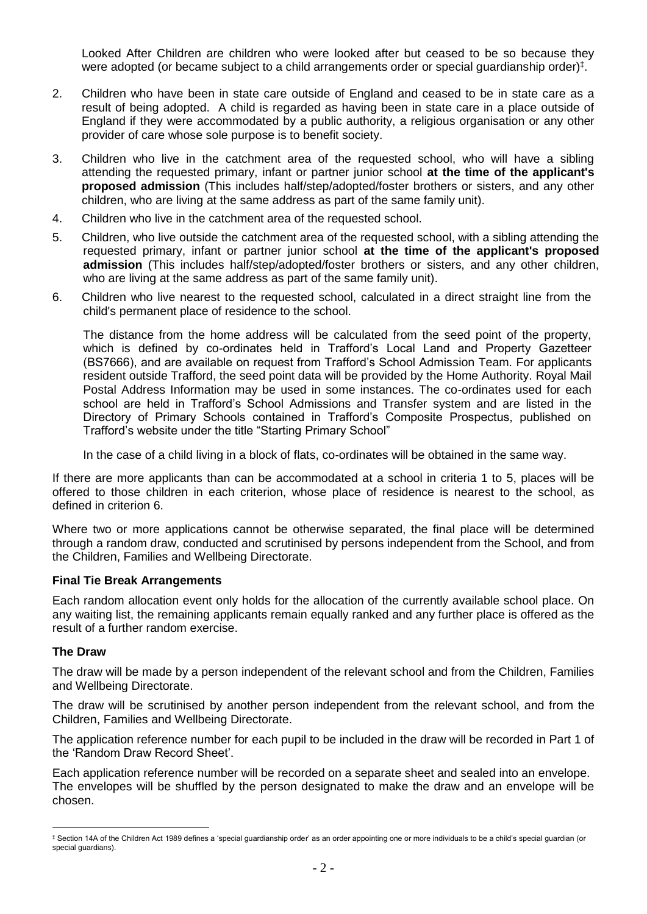Looked After Children are children who were looked after but ceased to be so because they were adopted (or became subject to a child arrangements order or special guardianship order)<sup>‡</sup>.

- 2. Children who have been in state care outside of England and ceased to be in state care as a result of being adopted. A child is regarded as having been in state care in a place outside of England if they were accommodated by a public authority, a religious organisation or any other provider of care whose sole purpose is to benefit society.
- 3. Children who live in the catchment area of the requested school, who will have a sibling attending the requested primary, infant or partner junior school **at the time of the applicant's proposed admission** (This includes half/step/adopted/foster brothers or sisters, and any other children, who are living at the same address as part of the same family unit).
- 4. Children who live in the catchment area of the requested school.
- 5. Children, who live outside the catchment area of the requested school, with a sibling attending the requested primary, infant or partner junior school **at the time of the applicant's proposed admission** (This includes half/step/adopted/foster brothers or sisters, and any other children, who are living at the same address as part of the same family unit).
- 6. Children who live nearest to the requested school, calculated in a direct straight line from the child's permanent place of residence to the school.

The distance from the home address will be calculated from the seed point of the property, which is defined by co-ordinates held in Trafford's Local Land and Property Gazetteer (BS7666), and are available on request from Trafford's School Admission Team. For applicants resident outside Trafford, the seed point data will be provided by the Home Authority. Royal Mail Postal Address Information may be used in some instances. The co-ordinates used for each school are held in Trafford's School Admissions and Transfer system and are listed in the Directory of Primary Schools contained in Trafford's Composite Prospectus, published on Trafford's website under the title "Starting Primary School"

In the case of a child living in a block of flats, co-ordinates will be obtained in the same way.

If there are more applicants than can be accommodated at a school in criteria 1 to 5, places will be offered to those children in each criterion, whose place of residence is nearest to the school, as defined in criterion 6.

Where two or more applications cannot be otherwise separated, the final place will be determined through a random draw, conducted and scrutinised by persons independent from the School, and from the Children, Families and Wellbeing Directorate.

# **Final Tie Break Arrangements**

Each random allocation event only holds for the allocation of the currently available school place. On any waiting list, the remaining applicants remain equally ranked and any further place is offered as the result of a further random exercise.

#### **The Draw**

 $\overline{a}$ 

The draw will be made by a person independent of the relevant school and from the Children, Families and Wellbeing Directorate.

The draw will be scrutinised by another person independent from the relevant school, and from the Children, Families and Wellbeing Directorate.

The application reference number for each pupil to be included in the draw will be recorded in Part 1 of the 'Random Draw Record Sheet'.

Each application reference number will be recorded on a separate sheet and sealed into an envelope. The envelopes will be shuffled by the person designated to make the draw and an envelope will be chosen.

<sup>‡</sup> Section 14A of the Children Act 1989 defines a 'special guardianship order' as an order appointing one or more individuals to be a child's special guardian (or special quardians).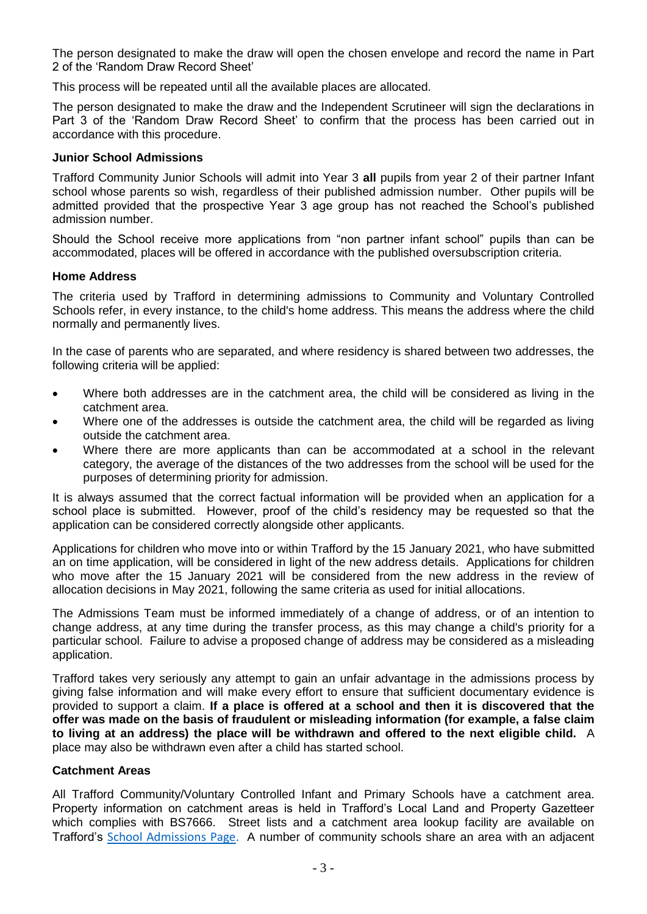The person designated to make the draw will open the chosen envelope and record the name in Part 2 of the 'Random Draw Record Sheet'

This process will be repeated until all the available places are allocated.

The person designated to make the draw and the Independent Scrutineer will sign the declarations in Part 3 of the 'Random Draw Record Sheet' to confirm that the process has been carried out in accordance with this procedure.

#### **Junior School Admissions**

Trafford Community Junior Schools will admit into Year 3 **all** pupils from year 2 of their partner Infant school whose parents so wish, regardless of their published admission number. Other pupils will be admitted provided that the prospective Year 3 age group has not reached the School's published admission number.

Should the School receive more applications from "non partner infant school" pupils than can be accommodated, places will be offered in accordance with the published oversubscription criteria.

#### **Home Address**

The criteria used by Trafford in determining admissions to Community and Voluntary Controlled Schools refer, in every instance, to the child's home address. This means the address where the child normally and permanently lives.

In the case of parents who are separated, and where residency is shared between two addresses, the following criteria will be applied:

- Where both addresses are in the catchment area, the child will be considered as living in the catchment area.
- Where one of the addresses is outside the catchment area, the child will be regarded as living outside the catchment area.
- Where there are more applicants than can be accommodated at a school in the relevant category, the average of the distances of the two addresses from the school will be used for the purposes of determining priority for admission.

It is always assumed that the correct factual information will be provided when an application for a school place is submitted. However, proof of the child's residency may be requested so that the application can be considered correctly alongside other applicants.

Applications for children who move into or within Trafford by the 15 January 2021, who have submitted an on time application, will be considered in light of the new address details. Applications for children who move after the 15 January 2021 will be considered from the new address in the review of allocation decisions in May 2021, following the same criteria as used for initial allocations.

The Admissions Team must be informed immediately of a change of address, or of an intention to change address, at any time during the transfer process, as this may change a child's priority for a particular school. Failure to advise a proposed change of address may be considered as a misleading application.

Trafford takes very seriously any attempt to gain an unfair advantage in the admissions process by giving false information and will make every effort to ensure that sufficient documentary evidence is provided to support a claim. **If a place is offered at a school and then it is discovered that the offer was made on the basis of fraudulent or misleading information (for example, a false claim to living at an address) the place will be withdrawn and offered to the next eligible child.** A place may also be withdrawn even after a child has started school.

# **Catchment Areas**

All Trafford Community/Voluntary Controlled Infant and Primary Schools have a catchment area. Property information on catchment areas is held in Trafford's Local Land and Property Gazetteer which complies with BS7666. Street lists and a catchment area lookup facility are available on Trafford's [School Admissions Page.](http://www.trafford.gov.uk/residents/schools/school-admissions/Admissions.aspx) A number of community schools share an area with an adjacent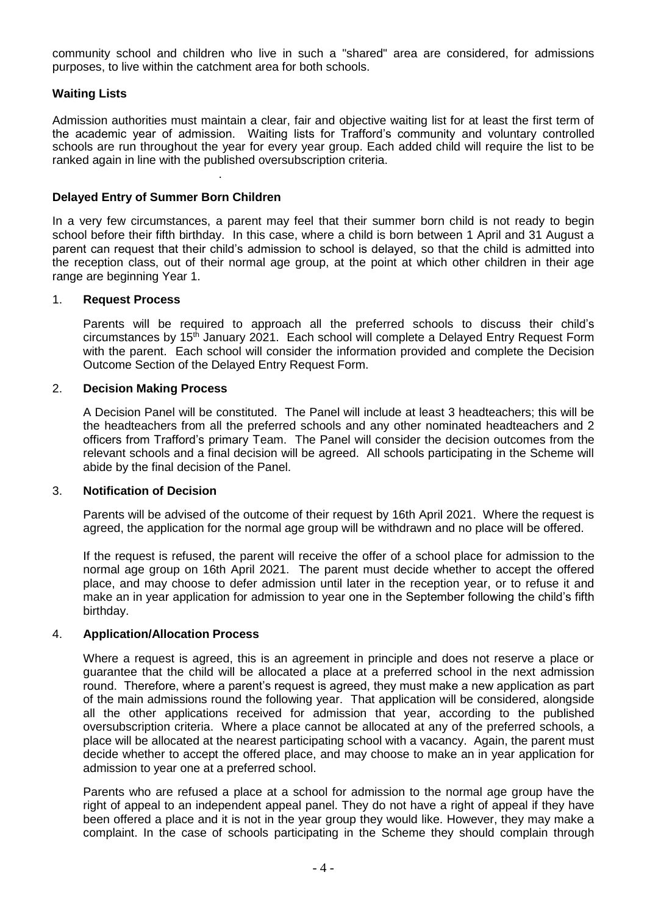community school and children who live in such a "shared" area are considered, for admissions purposes, to live within the catchment area for both schools.

# **Waiting Lists**

Admission authorities must maintain a clear, fair and objective waiting list for at least the first term of the academic year of admission. Waiting lists for Trafford's community and voluntary controlled schools are run throughout the year for every year group. Each added child will require the list to be ranked again in line with the published oversubscription criteria.

# **Delayed Entry of Summer Born Children**

.

In a very few circumstances, a parent may feel that their summer born child is not ready to begin school before their fifth birthday. In this case, where a child is born between 1 April and 31 August a parent can request that their child's admission to school is delayed, so that the child is admitted into the reception class, out of their normal age group, at the point at which other children in their age range are beginning Year 1.

#### 1. **Request Process**

Parents will be required to approach all the preferred schools to discuss their child's circumstances by 15th January 2021. Each school will complete a Delayed Entry Request Form with the parent. Each school will consider the information provided and complete the Decision Outcome Section of the Delayed Entry Request Form.

#### 2. **Decision Making Process**

A Decision Panel will be constituted. The Panel will include at least 3 headteachers; this will be the headteachers from all the preferred schools and any other nominated headteachers and 2 officers from Trafford's primary Team. The Panel will consider the decision outcomes from the relevant schools and a final decision will be agreed. All schools participating in the Scheme will abide by the final decision of the Panel.

#### 3. **Notification of Decision**

Parents will be advised of the outcome of their request by 16th April 2021. Where the request is agreed, the application for the normal age group will be withdrawn and no place will be offered.

If the request is refused, the parent will receive the offer of a school place for admission to the normal age group on 16th April 2021. The parent must decide whether to accept the offered place, and may choose to defer admission until later in the reception year, or to refuse it and make an in year application for admission to year one in the September following the child's fifth birthday.

#### 4. **Application/Allocation Process**

Where a request is agreed, this is an agreement in principle and does not reserve a place or guarantee that the child will be allocated a place at a preferred school in the next admission round. Therefore, where a parent's request is agreed, they must make a new application as part of the main admissions round the following year. That application will be considered, alongside all the other applications received for admission that year, according to the published oversubscription criteria. Where a place cannot be allocated at any of the preferred schools, a place will be allocated at the nearest participating school with a vacancy. Again, the parent must decide whether to accept the offered place, and may choose to make an in year application for admission to year one at a preferred school.

Parents who are refused a place at a school for admission to the normal age group have the right of appeal to an independent appeal panel. They do not have a right of appeal if they have been offered a place and it is not in the year group they would like. However, they may make a complaint. In the case of schools participating in the Scheme they should complain through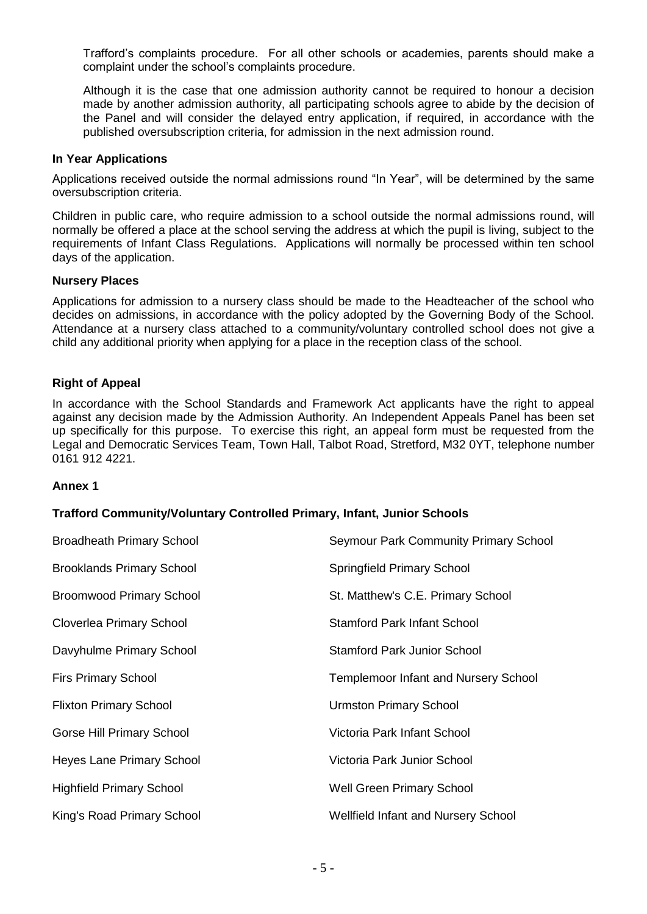Trafford's complaints procedure. For all other schools or academies, parents should make a complaint under the school's complaints procedure.

Although it is the case that one admission authority cannot be required to honour a decision made by another admission authority, all participating schools agree to abide by the decision of the Panel and will consider the delayed entry application, if required, in accordance with the published oversubscription criteria, for admission in the next admission round.

#### **In Year Applications**

Applications received outside the normal admissions round "In Year", will be determined by the same oversubscription criteria.

Children in public care, who require admission to a school outside the normal admissions round, will normally be offered a place at the school serving the address at which the pupil is living, subject to the requirements of Infant Class Regulations. Applications will normally be processed within ten school days of the application.

#### **Nursery Places**

Applications for admission to a nursery class should be made to the Headteacher of the school who decides on admissions, in accordance with the policy adopted by the Governing Body of the School. Attendance at a nursery class attached to a community/voluntary controlled school does not give a child any additional priority when applying for a place in the reception class of the school.

# **Right of Appeal**

In accordance with the School Standards and Framework Act applicants have the right to appeal against any decision made by the Admission Authority. An Independent Appeals Panel has been set up specifically for this purpose. To exercise this right, an appeal form must be requested from the Legal and Democratic Services Team, Town Hall, Talbot Road, Stretford, M32 0YT, telephone number 0161 912 4221.

# **Annex 1**

# **Trafford Community/Voluntary Controlled Primary, Infant, Junior Schools**

| <b>Broadheath Primary School</b> | <b>Seymour Park Community Primary School</b> |
|----------------------------------|----------------------------------------------|
| <b>Brooklands Primary School</b> | <b>Springfield Primary School</b>            |
| <b>Broomwood Primary School</b>  | St. Matthew's C.E. Primary School            |
| Cloverlea Primary School         | <b>Stamford Park Infant School</b>           |
| Davyhulme Primary School         | <b>Stamford Park Junior School</b>           |
| <b>Firs Primary School</b>       | <b>Templemoor Infant and Nursery School</b>  |
| <b>Flixton Primary School</b>    | <b>Urmston Primary School</b>                |
| Gorse Hill Primary School        | Victoria Park Infant School                  |
| <b>Heyes Lane Primary School</b> | Victoria Park Junior School                  |
| <b>Highfield Primary School</b>  | <b>Well Green Primary School</b>             |
| King's Road Primary School       | <b>Wellfield Infant and Nursery School</b>   |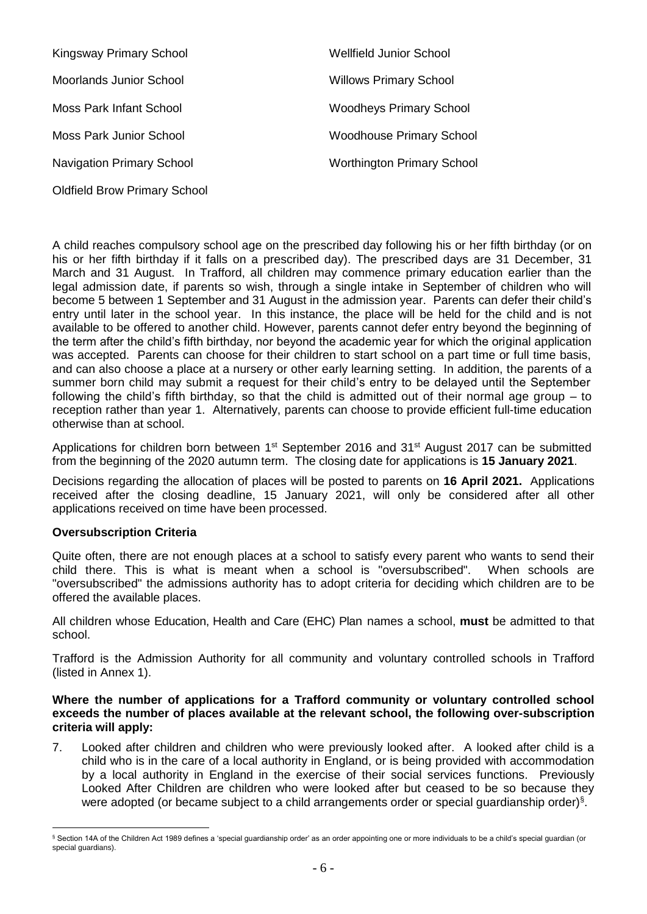| Kingsway Primary School             | Wellfield Junior School           |
|-------------------------------------|-----------------------------------|
| Moorlands Junior School             | <b>Willows Primary School</b>     |
| Moss Park Infant School             | <b>Woodheys Primary School</b>    |
| Moss Park Junior School             | <b>Woodhouse Primary School</b>   |
| <b>Navigation Primary School</b>    | <b>Worthington Primary School</b> |
| <b>Oldfield Brow Primary School</b> |                                   |

A child reaches compulsory school age on the prescribed day following his or her fifth birthday (or on his or her fifth birthday if it falls on a prescribed day). The prescribed days are 31 December, 31 March and 31 August. In Trafford, all children may commence primary education earlier than the legal admission date, if parents so wish, through a single intake in September of children who will become 5 between 1 September and 31 August in the admission year. Parents can defer their child's entry until later in the school year. In this instance, the place will be held for the child and is not available to be offered to another child. However, parents cannot defer entry beyond the beginning of the term after the child's fifth birthday, nor beyond the academic year for which the original application was accepted. Parents can choose for their children to start school on a part time or full time basis, and can also choose a place at a nursery or other early learning setting. In addition, the parents of a summer born child may submit a request for their child's entry to be delayed until the September following the child's fifth birthday, so that the child is admitted out of their normal age group – to reception rather than year 1. Alternatively, parents can choose to provide efficient full-time education otherwise than at school.

Applications for children born between 1<sup>st</sup> September 2016 and 31<sup>st</sup> August 2017 can be submitted from the beginning of the 2020 autumn term. The closing date for applications is **15 January 2021**.

Decisions regarding the allocation of places will be posted to parents on **16 April 2021.** Applications received after the closing deadline, 15 January 2021, will only be considered after all other applications received on time have been processed.

# **Oversubscription Criteria**

 $\overline{a}$ 

Quite often, there are not enough places at a school to satisfy every parent who wants to send their child there. This is what is meant when a school is "oversubscribed". When schools are "oversubscribed" the admissions authority has to adopt criteria for deciding which children are to be offered the available places.

All children whose Education, Health and Care (EHC) Plan names a school, **must** be admitted to that school.

Trafford is the Admission Authority for all community and voluntary controlled schools in Trafford (listed in Annex 1).

#### **Where the number of applications for a Trafford community or voluntary controlled school exceeds the number of places available at the relevant school, the following over-subscription criteria will apply:**

7. Looked after children and children who were previously looked after. A looked after child is a child who is in the care of a local authority in England, or is being provided with accommodation by a local authority in England in the exercise of their social services functions. Previously Looked After Children are children who were looked after but ceased to be so because they were adopted (or became subject to a child arrangements order or special guardianship order)<sup>§</sup>.

<sup>§</sup> Section 14A of the Children Act 1989 defines a 'special guardianship order' as an order appointing one or more individuals to be a child's special guardian (or special quardians).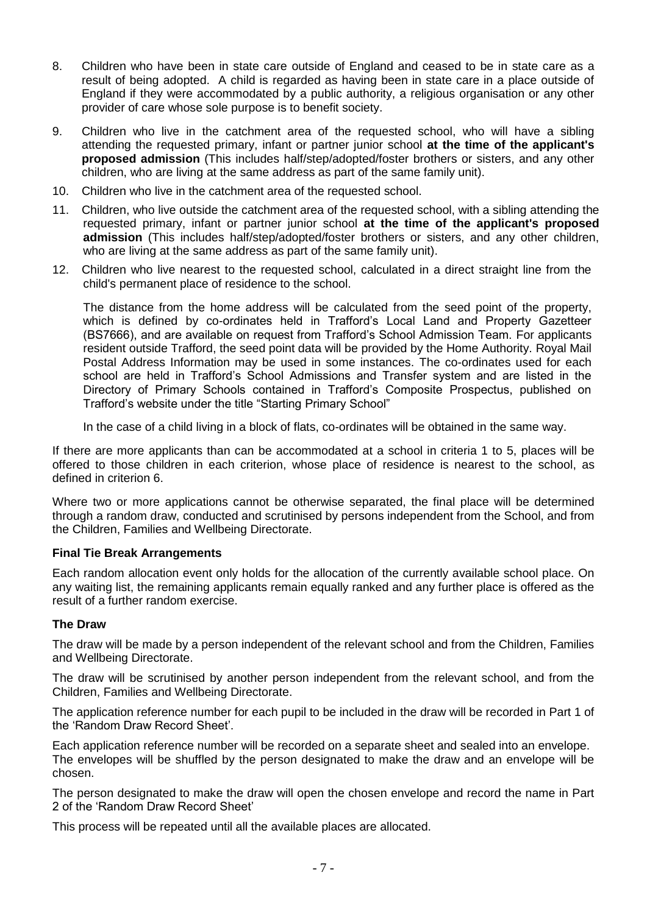- 8. Children who have been in state care outside of England and ceased to be in state care as a result of being adopted. A child is regarded as having been in state care in a place outside of England if they were accommodated by a public authority, a religious organisation or any other provider of care whose sole purpose is to benefit society.
- 9. Children who live in the catchment area of the requested school, who will have a sibling attending the requested primary, infant or partner junior school **at the time of the applicant's proposed admission** (This includes half/step/adopted/foster brothers or sisters, and any other children, who are living at the same address as part of the same family unit).
- 10. Children who live in the catchment area of the requested school.
- 11. Children, who live outside the catchment area of the requested school, with a sibling attending the requested primary, infant or partner junior school **at the time of the applicant's proposed admission** (This includes half/step/adopted/foster brothers or sisters, and any other children, who are living at the same address as part of the same family unit).
- 12. Children who live nearest to the requested school, calculated in a direct straight line from the child's permanent place of residence to the school.

The distance from the home address will be calculated from the seed point of the property, which is defined by co-ordinates held in Trafford's Local Land and Property Gazetteer (BS7666), and are available on request from Trafford's School Admission Team. For applicants resident outside Trafford, the seed point data will be provided by the Home Authority. Royal Mail Postal Address Information may be used in some instances. The co-ordinates used for each school are held in Trafford's School Admissions and Transfer system and are listed in the Directory of Primary Schools contained in Trafford's Composite Prospectus, published on Trafford's website under the title "Starting Primary School"

In the case of a child living in a block of flats, co-ordinates will be obtained in the same way.

If there are more applicants than can be accommodated at a school in criteria 1 to 5, places will be offered to those children in each criterion, whose place of residence is nearest to the school, as defined in criterion 6.

Where two or more applications cannot be otherwise separated, the final place will be determined through a random draw, conducted and scrutinised by persons independent from the School, and from the Children, Families and Wellbeing Directorate.

# **Final Tie Break Arrangements**

Each random allocation event only holds for the allocation of the currently available school place. On any waiting list, the remaining applicants remain equally ranked and any further place is offered as the result of a further random exercise.

# **The Draw**

The draw will be made by a person independent of the relevant school and from the Children, Families and Wellbeing Directorate.

The draw will be scrutinised by another person independent from the relevant school, and from the Children, Families and Wellbeing Directorate.

The application reference number for each pupil to be included in the draw will be recorded in Part 1 of the 'Random Draw Record Sheet'.

Each application reference number will be recorded on a separate sheet and sealed into an envelope. The envelopes will be shuffled by the person designated to make the draw and an envelope will be chosen.

The person designated to make the draw will open the chosen envelope and record the name in Part 2 of the 'Random Draw Record Sheet'

This process will be repeated until all the available places are allocated.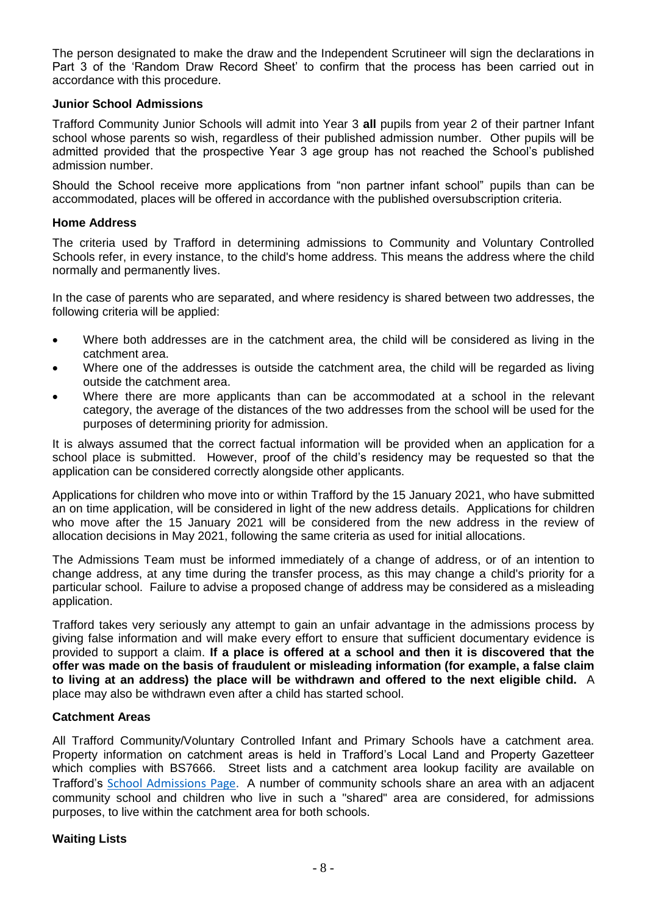The person designated to make the draw and the Independent Scrutineer will sign the declarations in Part 3 of the 'Random Draw Record Sheet' to confirm that the process has been carried out in accordance with this procedure.

# **Junior School Admissions**

Trafford Community Junior Schools will admit into Year 3 **all** pupils from year 2 of their partner Infant school whose parents so wish, regardless of their published admission number. Other pupils will be admitted provided that the prospective Year 3 age group has not reached the School's published admission number.

Should the School receive more applications from "non partner infant school" pupils than can be accommodated, places will be offered in accordance with the published oversubscription criteria.

# **Home Address**

The criteria used by Trafford in determining admissions to Community and Voluntary Controlled Schools refer, in every instance, to the child's home address. This means the address where the child normally and permanently lives.

In the case of parents who are separated, and where residency is shared between two addresses, the following criteria will be applied:

- Where both addresses are in the catchment area, the child will be considered as living in the catchment area.
- Where one of the addresses is outside the catchment area, the child will be regarded as living outside the catchment area.
- Where there are more applicants than can be accommodated at a school in the relevant category, the average of the distances of the two addresses from the school will be used for the purposes of determining priority for admission.

It is always assumed that the correct factual information will be provided when an application for a school place is submitted. However, proof of the child's residency may be requested so that the application can be considered correctly alongside other applicants.

Applications for children who move into or within Trafford by the 15 January 2021, who have submitted an on time application, will be considered in light of the new address details. Applications for children who move after the 15 January 2021 will be considered from the new address in the review of allocation decisions in May 2021, following the same criteria as used for initial allocations.

The Admissions Team must be informed immediately of a change of address, or of an intention to change address, at any time during the transfer process, as this may change a child's priority for a particular school. Failure to advise a proposed change of address may be considered as a misleading application.

Trafford takes very seriously any attempt to gain an unfair advantage in the admissions process by giving false information and will make every effort to ensure that sufficient documentary evidence is provided to support a claim. **If a place is offered at a school and then it is discovered that the offer was made on the basis of fraudulent or misleading information (for example, a false claim to living at an address) the place will be withdrawn and offered to the next eligible child.** A place may also be withdrawn even after a child has started school.

# **Catchment Areas**

All Trafford Community/Voluntary Controlled Infant and Primary Schools have a catchment area. Property information on catchment areas is held in Trafford's Local Land and Property Gazetteer which complies with BS7666. Street lists and a catchment area lookup facility are available on Trafford's [School Admissions Page.](http://www.trafford.gov.uk/residents/schools/school-admissions/Admissions.aspx) A number of community schools share an area with an adjacent community school and children who live in such a "shared" area are considered, for admissions purposes, to live within the catchment area for both schools.

# **Waiting Lists**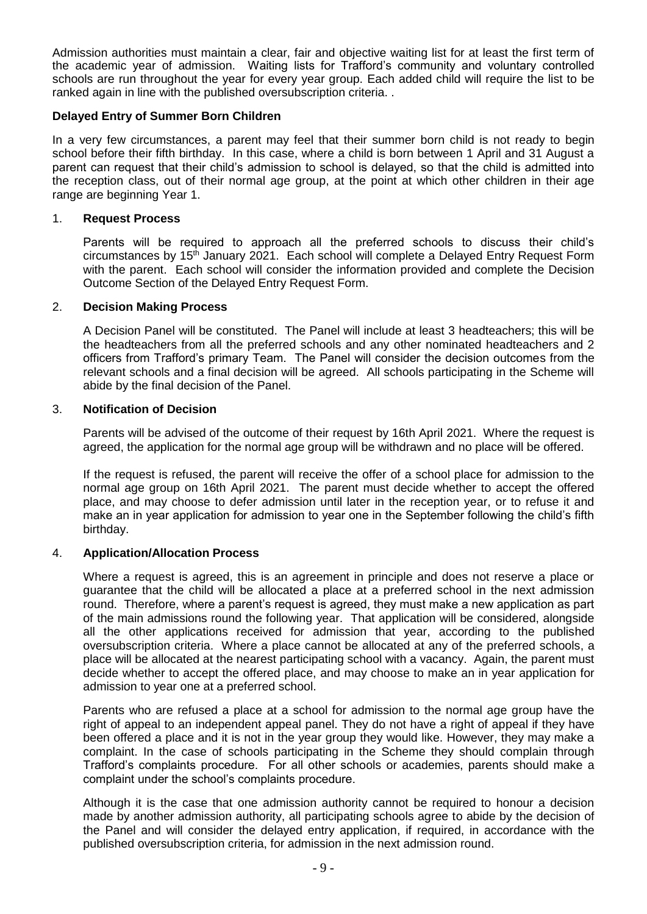Admission authorities must maintain a clear, fair and objective waiting list for at least the first term of the academic year of admission. Waiting lists for Trafford's community and voluntary controlled schools are run throughout the year for every year group. Each added child will require the list to be ranked again in line with the published oversubscription criteria. .

#### **Delayed Entry of Summer Born Children**

In a very few circumstances, a parent may feel that their summer born child is not ready to begin school before their fifth birthday. In this case, where a child is born between 1 April and 31 August a parent can request that their child's admission to school is delayed, so that the child is admitted into the reception class, out of their normal age group, at the point at which other children in their age range are beginning Year 1.

#### 1. **Request Process**

Parents will be required to approach all the preferred schools to discuss their child's circumstances by 15<sup>th</sup> January 2021. Each school will complete a Delayed Entry Request Form with the parent. Each school will consider the information provided and complete the Decision Outcome Section of the Delayed Entry Request Form.

#### 2. **Decision Making Process**

A Decision Panel will be constituted. The Panel will include at least 3 headteachers; this will be the headteachers from all the preferred schools and any other nominated headteachers and 2 officers from Trafford's primary Team. The Panel will consider the decision outcomes from the relevant schools and a final decision will be agreed. All schools participating in the Scheme will abide by the final decision of the Panel.

#### 3. **Notification of Decision**

Parents will be advised of the outcome of their request by 16th April 2021. Where the request is agreed, the application for the normal age group will be withdrawn and no place will be offered.

If the request is refused, the parent will receive the offer of a school place for admission to the normal age group on 16th April 2021. The parent must decide whether to accept the offered place, and may choose to defer admission until later in the reception year, or to refuse it and make an in year application for admission to year one in the September following the child's fifth birthday.

#### 4. **Application/Allocation Process**

Where a request is agreed, this is an agreement in principle and does not reserve a place or guarantee that the child will be allocated a place at a preferred school in the next admission round. Therefore, where a parent's request is agreed, they must make a new application as part of the main admissions round the following year. That application will be considered, alongside all the other applications received for admission that year, according to the published oversubscription criteria. Where a place cannot be allocated at any of the preferred schools, a place will be allocated at the nearest participating school with a vacancy. Again, the parent must decide whether to accept the offered place, and may choose to make an in year application for admission to year one at a preferred school.

Parents who are refused a place at a school for admission to the normal age group have the right of appeal to an independent appeal panel. They do not have a right of appeal if they have been offered a place and it is not in the year group they would like. However, they may make a complaint. In the case of schools participating in the Scheme they should complain through Trafford's complaints procedure. For all other schools or academies, parents should make a complaint under the school's complaints procedure.

Although it is the case that one admission authority cannot be required to honour a decision made by another admission authority, all participating schools agree to abide by the decision of the Panel and will consider the delayed entry application, if required, in accordance with the published oversubscription criteria, for admission in the next admission round.